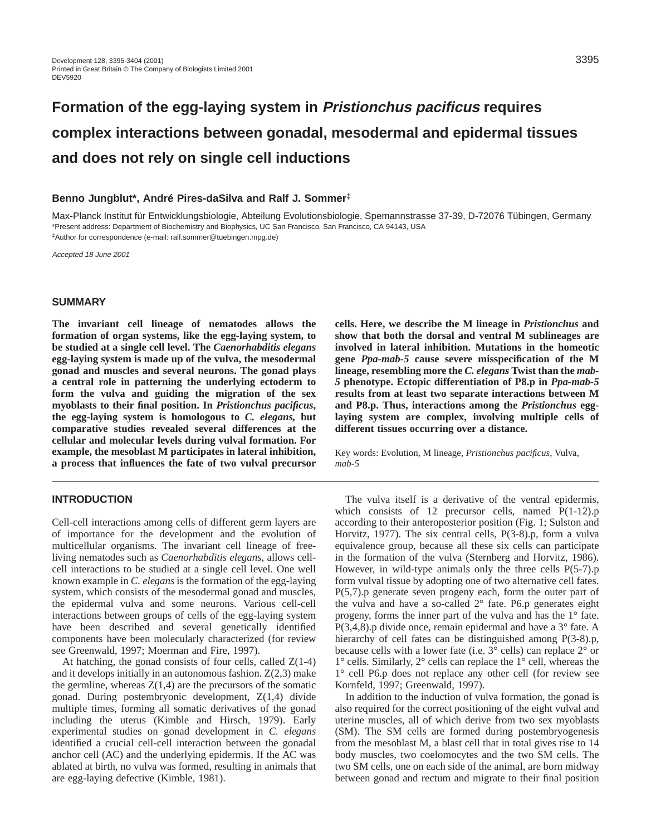# **Formation of the egg-laying system in Pristionchus pacificus requires complex interactions between gonadal, mesodermal and epidermal tissues and does not rely on single cell inductions**

## **Benno Jungblut\*, André Pires-daSilva and Ralf J. Sommer‡**

Max-Planck Institut für Entwicklungsbiologie, Abteilung Evolutionsbiologie, Spemannstrasse 37-39, D-72076 Tübingen, Germany \*Present address: Department of Biochemistry and Biophysics, UC San Francisco, San Francisco, CA 94143, USA ‡Author for correspondence (e-mail: ralf.sommer@tuebingen.mpg.de)

Accepted 18 June 2001

# **SUMMARY**

**The invariant cell lineage of nematodes allows the formation of organ systems, like the egg-laying system, to be studied at a single cell level. The** *Caenorhabditis elegans* **egg-laying system is made up of the vulva, the mesodermal gonad and muscles and several neurons. The gonad plays a central role in patterning the underlying ectoderm to form the vulva and guiding the migration of the sex myoblasts to their final position. In** *Pristionchus pacificus***, the egg-laying system is homologous to** *C. elegans,* **but comparative studies revealed several differences at the cellular and molecular levels during vulval formation. For example, the mesoblast M participates in lateral inhibition, a process that influences the fate of two vulval precursor**

# **INTRODUCTION**

Cell-cell interactions among cells of different germ layers are of importance for the development and the evolution of multicellular organisms. The invariant cell lineage of freeliving nematodes such as *Caenorhabditis elegans*, allows cellcell interactions to be studied at a single cell level. One well known example in *C. elegans* is the formation of the egg-laying system, which consists of the mesodermal gonad and muscles, the epidermal vulva and some neurons. Various cell-cell interactions between groups of cells of the egg-laying system have been described and several genetically identified components have been molecularly characterized (for review see Greenwald, 1997; Moerman and Fire, 1997).

At hatching, the gonad consists of four cells, called  $Z(1-4)$ and it develops initially in an autonomous fashion.  $Z(2,3)$  make the germline, whereas  $Z(1,4)$  are the precursors of the somatic gonad. During postembryonic development, Z(1,4) divide multiple times, forming all somatic derivatives of the gonad including the uterus (Kimble and Hirsch, 1979). Early experimental studies on gonad development in *C. elegans* identified a crucial cell-cell interaction between the gonadal anchor cell (AC) and the underlying epidermis. If the AC was ablated at birth, no vulva was formed, resulting in animals that are egg-laying defective (Kimble, 1981).

**cells. Here, we describe the M lineage in** *Pristionchus* **and show that both the dorsal and ventral M sublineages are involved in lateral inhibition. Mutations in the homeotic gene** *Ppa-mab-5* **cause severe misspecification of the M lineage, resembling more the** *C. elegans* **Twist than the** *mab-5* **phenotype. Ectopic differentiation of P8.p in** *Ppa-mab-5* **results from at least two separate interactions between M and P8.p. Thus, interactions among the** *Pristionchus* **egglaying system are complex, involving multiple cells of different tissues occurring over a distance.** 

Key words: Evolution, M lineage, *Pristionchus pacificus*, Vulva, *mab-5*

The vulva itself is a derivative of the ventral epidermis, which consists of 12 precursor cells, named P(1-12).p according to their anteroposterior position (Fig. 1; Sulston and Horvitz, 1977). The six central cells, P(3-8).p, form a vulva equivalence group, because all these six cells can participate in the formation of the vulva (Sternberg and Horvitz, 1986). However, in wild-type animals only the three cells P(5-7).p form vulval tissue by adopting one of two alternative cell fates. P(5,7).p generate seven progeny each, form the outer part of the vulva and have a so-called 2° fate. P6.p generates eight progeny, forms the inner part of the vulva and has the 1° fate. P(3,4,8).p divide once, remain epidermal and have a 3° fate. A hierarchy of cell fates can be distinguished among P(3-8).p, because cells with a lower fate (i.e. 3° cells) can replace 2° or 1° cells. Similarly, 2° cells can replace the 1° cell, whereas the 1° cell P6.p does not replace any other cell (for review see Kornfeld, 1997; Greenwald, 1997).

In addition to the induction of vulva formation, the gonad is also required for the correct positioning of the eight vulval and uterine muscles, all of which derive from two sex myoblasts (SM). The SM cells are formed during postembryogenesis from the mesoblast M, a blast cell that in total gives rise to 14 body muscles, two coelomocytes and the two SM cells. The two SM cells, one on each side of the animal, are born midway between gonad and rectum and migrate to their final position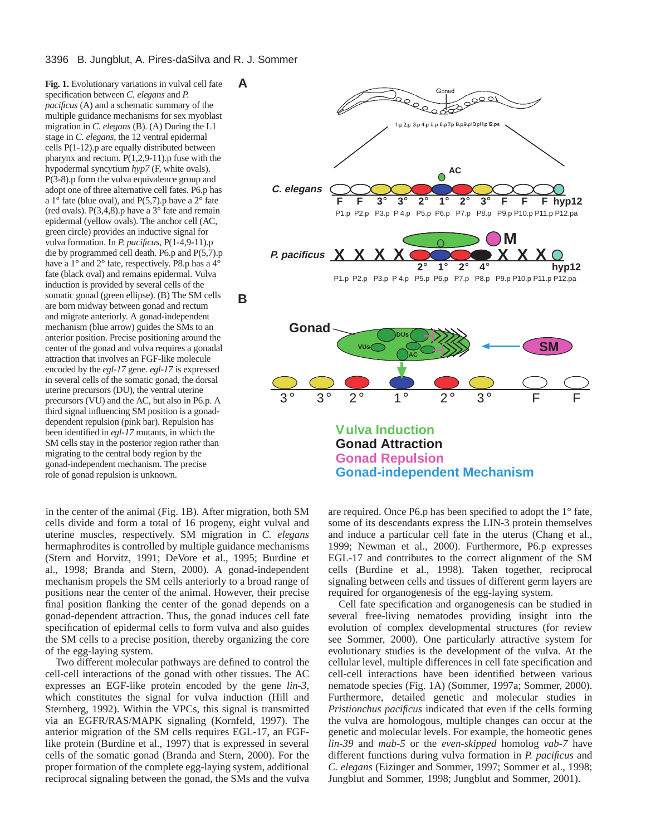**Fig. 1.** Evolutionary variations in vulval cell fate specification between *C. elegans* and *P. pacificus* (A) and a schematic summary of the multiple guidance mechanisms for sex myoblast migration in *C. elegans* (B). (A) During the L1 stage in *C. elegans*, the 12 ventral epidermal cells P(1-12).p are equally distributed between pharynx and rectum.  $P(1,2,9-11)$ . p fuse with the hypodermal syncytium *hyp7* (F, white ovals). P(3-8).p form the vulva equivalence group and adopt one of three alternative cell fates. P6.p has a  $1^{\circ}$  fate (blue oval), and P(5,7).p have a  $2^{\circ}$  fate (red ovals).  $P(3,4,8)$ .p have a  $3^{\circ}$  fate and remain epidermal (yellow ovals). The anchor cell (AC, green circle) provides an inductive signal for vulva formation. In *P. pacificus*, P(1-4,9-11).p die by programmed cell death. P6.p and P(5,7).p have a 1° and 2° fate, respectively. P8.p has a 4° fate (black oval) and remains epidermal. Vulva induction is provided by several cells of the somatic gonad (green ellipse). (B) The SM cells are born midway between gonad and rectum and migrate anteriorly. A gonad-independent mechanism (blue arrow) guides the SMs to an anterior position. Precise positioning around the center of the gonad and vulva requires a gonadal attraction that involves an FGF-like molecule encoded by the *egl-17* gene. *egl-17* is expressed in several cells of the somatic gonad, the dorsal uterine precursors (DU), the ventral uterine precursors (VU) and the AC, but also in P6.p. A third signal influencing SM position is a gonaddependent repulsion (pink bar). Repulsion has been identified in *egl-17* mutants, in which the SM cells stay in the posterior region rather than migrating to the central body region by the gonad-independent mechanism. The precise role of gonad repulsion is unknown.

in the center of the animal (Fig. 1B). After migration, both SM cells divide and form a total of 16 progeny, eight vulval and uterine muscles, respectively. SM migration in *C. elegans* hermaphrodites is controlled by multiple guidance mechanisms (Stern and Horvitz, 1991; DeVore et al., 1995; Burdine et al., 1998; Branda and Stern, 2000). A gonad-independent mechanism propels the SM cells anteriorly to a broad range of positions near the center of the animal. However, their precise final position flanking the center of the gonad depends on a gonad-dependent attraction. Thus, the gonad induces cell fate specification of epidermal cells to form vulva and also guides the SM cells to a precise position, thereby organizing the core of the egg-laying system.

Two different molecular pathways are defined to control the cell-cell interactions of the gonad with other tissues. The AC expresses an EGF-like protein encoded by the gene *lin-3*, which constitutes the signal for vulva induction (Hill and Sternberg, 1992). Within the VPCs, this signal is transmitted via an EGFR/RAS/MAPK signaling (Kornfeld, 1997). The anterior migration of the SM cells requires EGL-17, an FGFlike protein (Burdine et al., 1997) that is expressed in several cells of the somatic gonad (Branda and Stern, 2000). For the proper formation of the complete egg-laying system, additional reciprocal signaling between the gonad, the SMs and the vulva



are required. Once P6.p has been specified to adopt the 1° fate, some of its descendants express the LIN-3 protein themselves and induce a particular cell fate in the uterus (Chang et al., 1999; Newman et al., 2000). Furthermore, P6.p expresses EGL-17 and contributes to the correct alignment of the SM cells (Burdine et al., 1998). Taken together, reciprocal signaling between cells and tissues of different germ layers are required for organogenesis of the egg-laying system.

Cell fate specification and organogenesis can be studied in several free-living nematodes providing insight into the evolution of complex developmental structures (for review see Sommer, 2000). One particularly attractive system for evolutionary studies is the development of the vulva. At the cellular level, multiple differences in cell fate specification and cell-cell interactions have been identified between various nematode species (Fig. 1A) (Sommer, 1997a; Sommer, 2000). Furthermore, detailed genetic and molecular studies in *Pristionchus pacificus* indicated that even if the cells forming the vulva are homologous, multiple changes can occur at the genetic and molecular levels. For example, the homeotic genes *lin-39* and *mab-5* or the *even-skipped* homolog *vab-7* have different functions during vulva formation in *P. pacificus* and *C. elegans* (Eizinger and Sommer, 1997; Sommer et al., 1998; Jungblut and Sommer, 1998; Jungblut and Sommer, 2001).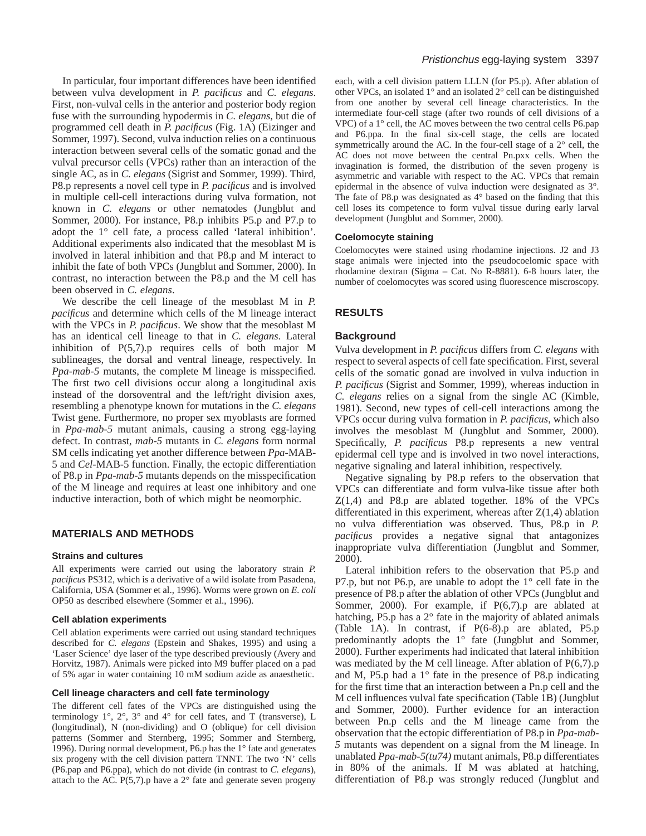In particular, four important differences have been identified between vulva development in *P. pacificus* and *C. elegans*. First, non-vulval cells in the anterior and posterior body region fuse with the surrounding hypodermis in *C. elegans*, but die of programmed cell death in *P. pacificus* (Fig. 1A) (Eizinger and Sommer, 1997). Second, vulva induction relies on a continuous interaction between several cells of the somatic gonad and the vulval precursor cells (VPCs) rather than an interaction of the single AC, as in *C. elegans* (Sigrist and Sommer, 1999). Third, P8.p represents a novel cell type in *P. pacificus* and is involved in multiple cell-cell interactions during vulva formation, not known in *C. elegans* or other nematodes (Jungblut and Sommer, 2000). For instance, P8.p inhibits P5.p and P7.p to adopt the 1° cell fate, a process called 'lateral inhibition'. Additional experiments also indicated that the mesoblast M is involved in lateral inhibition and that P8.p and M interact to inhibit the fate of both VPCs (Jungblut and Sommer, 2000). In contrast, no interaction between the P8.p and the M cell has been observed in *C. elegans*.

We describe the cell lineage of the mesoblast M in *P. pacificus* and determine which cells of the M lineage interact with the VPCs in *P. pacificus*. We show that the mesoblast M has an identical cell lineage to that in *C. elegans*. Lateral inhibition of P(5,7).p requires cells of both major M sublineages, the dorsal and ventral lineage, respectively. In *Ppa-mab-5* mutants, the complete M lineage is misspecified. The first two cell divisions occur along a longitudinal axis instead of the dorsoventral and the left/right division axes, resembling a phenotype known for mutations in the *C. elegans* Twist gene. Furthermore, no proper sex myoblasts are formed in *Ppa-mab-5* mutant animals, causing a strong egg-laying defect. In contrast, *mab-5* mutants in *C. elegans* form normal SM cells indicating yet another difference between *Ppa-*MAB-5 and *Cel*-MAB-5 function. Finally, the ectopic differentiation of P8.p in *Ppa-mab-5* mutants depends on the misspecification of the M lineage and requires at least one inhibitory and one inductive interaction, both of which might be neomorphic.

## **MATERIALS AND METHODS**

#### **Strains and cultures**

All experiments were carried out using the laboratory strain *P. pacificus* PS312, which is a derivative of a wild isolate from Pasadena, California, USA (Sommer et al., 1996). Worms were grown on *E. coli* OP50 as described elsewhere (Sommer et al., 1996).

#### **Cell ablation experiments**

Cell ablation experiments were carried out using standard techniques described for *C. elegans* (Epstein and Shakes, 1995) and using a 'Laser Science' dye laser of the type described previously (Avery and Horvitz, 1987). Animals were picked into M9 buffer placed on a pad of 5% agar in water containing 10 mM sodium azide as anaesthetic.

#### **Cell lineage characters and cell fate terminology**

The different cell fates of the VPCs are distinguished using the terminology 1°, 2°, 3° and 4° for cell fates, and T (transverse), L (longitudinal), N (non-dividing) and O (oblique) for cell division patterns (Sommer and Sternberg, 1995; Sommer and Sternberg, 1996). During normal development, P6.p has the 1° fate and generates six progeny with the cell division pattern TNNT. The two 'N' cells (P6.pap and P6.ppa), which do not divide (in contrast to *C. elegans*), attach to the AC.  $P(5,7)$ .p have a  $2^{\circ}$  fate and generate seven progeny

each, with a cell division pattern LLLN (for P5.p). After ablation of other VPCs, an isolated 1° and an isolated 2° cell can be distinguished from one another by several cell lineage characteristics. In the intermediate four-cell stage (after two rounds of cell divisions of a VPC) of a 1° cell, the AC moves between the two central cells P6.pap and P6.ppa. In the final six-cell stage, the cells are located symmetrically around the AC. In the four-cell stage of a 2° cell, the AC does not move between the central Pn.pxx cells. When the invagination is formed, the distribution of the seven progeny is asymmetric and variable with respect to the AC. VPCs that remain epidermal in the absence of vulva induction were designated as 3°. The fate of P8.p was designated as 4° based on the finding that this cell loses its competence to form vulval tissue during early larval development (Jungblut and Sommer, 2000).

#### **Coelomocyte staining**

Coelomocytes were stained using rhodamine injections. J2 and J3 stage animals were injected into the pseudocoelomic space with rhodamine dextran (Sigma – Cat. No R-8881). 6-8 hours later, the number of coelomocytes was scored using fluorescence miscroscopy.

## **RESULTS**

#### **Background**

Vulva development in *P. pacificus* differs from *C. elegans* with respect to several aspects of cell fate specification. First, several cells of the somatic gonad are involved in vulva induction in *P. pacificus* (Sigrist and Sommer, 1999), whereas induction in *C. elegans* relies on a signal from the single AC (Kimble, 1981). Second, new types of cell-cell interactions among the VPCs occur during vulva formation in *P. pacificus*, which also involves the mesoblast M (Jungblut and Sommer, 2000). Specifically, *P. pacificus* P8.p represents a new ventral epidermal cell type and is involved in two novel interactions, negative signaling and lateral inhibition, respectively.

Negative signaling by P8.p refers to the observation that VPCs can differentiate and form vulva-like tissue after both  $Z(1,4)$  and P8.p are ablated together. 18% of the VPCs differentiated in this experiment, whereas after  $Z(1,4)$  ablation no vulva differentiation was observed. Thus, P8.p in *P. pacificus* provides a negative signal that antagonizes inappropriate vulva differentiation (Jungblut and Sommer, 2000).

Lateral inhibition refers to the observation that P5.p and P7.p, but not P6.p, are unable to adopt the 1° cell fate in the presence of P8.p after the ablation of other VPCs (Jungblut and Sommer, 2000). For example, if P(6,7).p are ablated at hatching, P5.p has a 2° fate in the majority of ablated animals (Table 1A). In contrast, if P(6-8).p are ablated, P5.p predominantly adopts the 1° fate (Jungblut and Sommer, 2000). Further experiments had indicated that lateral inhibition was mediated by the M cell lineage. After ablation of P(6,7).p and M, P5.p had a 1° fate in the presence of P8.p indicating for the first time that an interaction between a Pn.p cell and the M cell influences vulval fate specification (Table 1B) (Jungblut and Sommer, 2000). Further evidence for an interaction between Pn.p cells and the M lineage came from the observation that the ectopic differentiation of P8.p in *Ppa-mab-5* mutants was dependent on a signal from the M lineage. In unablated *Ppa-mab-5(tu74)* mutant animals, P8.p differentiates in 80% of the animals. If M was ablated at hatching, differentiation of P8.p was strongly reduced (Jungblut and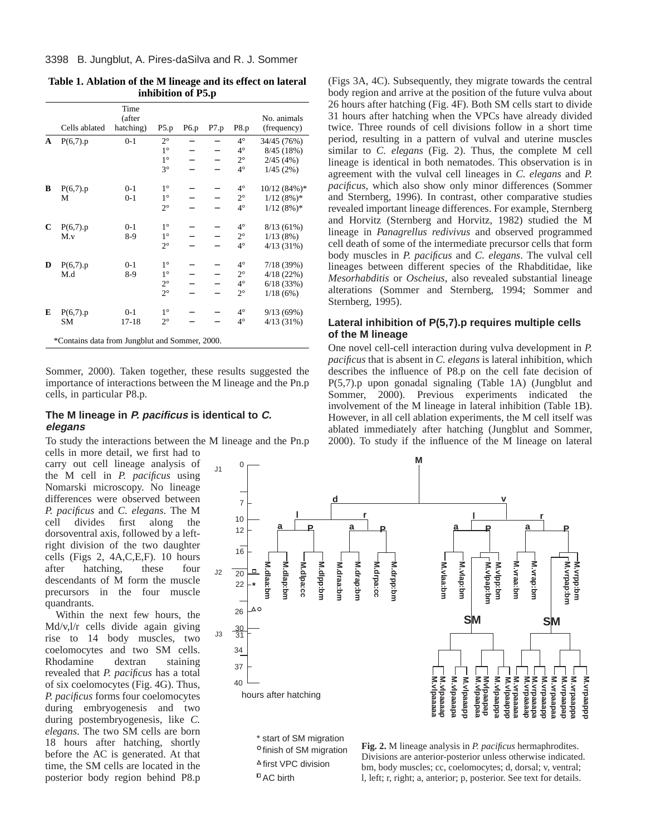|             |                                                | Time<br>(after |             |      |      |             | No. animals    |
|-------------|------------------------------------------------|----------------|-------------|------|------|-------------|----------------|
|             | Cells ablated                                  | hatching)      | P5.p        | P6.p | P7.p | P8.p        | (frequency)    |
| A           | $P(6,7)$ .p                                    | $0 - 1$        | $2^{\circ}$ |      |      | $4^{\circ}$ | 34/45 (76%)    |
|             |                                                |                | $1^{\circ}$ |      |      | $4^\circ$   | 8/45 (18%)     |
|             |                                                |                | $1^{\circ}$ |      |      | $2^{\circ}$ | 2/45(4%)       |
|             |                                                |                | $3^\circ$   |      |      | $4^\circ$   | 1/45(2%)       |
| В           | $P(6,7)$ .p                                    | $0 - 1$        | $1^{\circ}$ |      |      | $4^\circ$   | $10/12(84%)$ * |
|             | M                                              | $0 - 1$        | $1^{\circ}$ |      |      | $2^{\circ}$ | $1/12(8\%)*$   |
|             |                                                |                | $2^{\circ}$ |      |      | $4^\circ$   | $1/12(8\%)*$   |
| $\mathbf C$ | $P(6,7)$ .p                                    | $0 - 1$        | $1^{\circ}$ |      |      | $4^\circ$   | $8/13(61\%)$   |
|             | M.v                                            | $8-9$          | $1^{\circ}$ |      |      | $2^{\circ}$ | 1/13(8%)       |
|             |                                                |                | $2^{\circ}$ |      |      | $4^\circ$   | $4/13(31\%)$   |
| D           | $P(6,7)$ .p                                    | $0 - 1$        | $1^{\circ}$ |      |      | $4^\circ$   | 7/18(39%)      |
|             | M.d                                            | 8-9            | $1^{\circ}$ |      |      | $2^{\circ}$ | 4/18(22%)      |
|             |                                                |                | $2^{\circ}$ |      |      | $4^\circ$   | 6/18(33%)      |
|             |                                                |                | $2^{\circ}$ |      |      | $2^{\circ}$ | 1/18(6%)       |
| E           | $P(6,7)$ .p                                    | $0 - 1$        | $1^{\circ}$ |      |      | $4^\circ$   | 9/13(69%)      |
|             | <b>SM</b>                                      | $17 - 18$      | $2^{\circ}$ |      |      | $4^\circ$   | $4/13(31\%)$   |
|             | *Contains data from Jungblut and Sommer, 2000. |                |             |      |      |             |                |

**Table 1. Ablation of the M lineage and its effect on lateral inhibition of P5.p**

Sommer, 2000). Taken together, these results suggested the importance of interactions between the M lineage and the Pn.p cells, in particular P8.p.

## **The M lineage in P. pacificus is identical to C. elegans**

To study the interactions between the M lineage and the Pn.p cells in more detail, we first had to

carry out cell lineage analysis of the M cell in *P. pacificus* using Nomarski microscopy. No lineage differences were observed between *P. pacificus* and *C. elegans*. The M cell divides first along the dorsoventral axis, followed by a leftright division of the two daughter cells (Figs 2, 4A,C,E,F). 10 hours after hatching, these four descendants of M form the muscle precursors in the four muscle quandrants.

Within the next few hours, the Md/v,l/r cells divide again giving rise to 14 body muscles, two coelomocytes and two SM cells. Rhodamine dextran staining revealed that *P. pacificus* has a total of six coelomocytes (Fig. 4G). Thus, *P. pacificus* forms four coelomocytes during embryogenesis and two during postembryogenesis, like *C. elegans*. The two SM cells are born 18 hours after hatching, shortly before the AC is generated. At that time, the SM cells are located in the posterior body region behind P8.p

(Figs 3A, 4C). Subsequently, they migrate towards the central body region and arrive at the position of the future vulva about 26 hours after hatching (Fig. 4F). Both SM cells start to divide 31 hours after hatching when the VPCs have already divided twice. Three rounds of cell divisions follow in a short time period, resulting in a pattern of vulval and uterine muscles similar to *C. elegans* (Fig. 2). Thus, the complete M cell lineage is identical in both nematodes. This observation is in agreement with the vulval cell lineages in *C. elegans* and *P. pacificus*, which also show only minor differences (Sommer and Sternberg, 1996). In contrast, other comparative studies revealed important lineage differences. For example, Sternberg and Horvitz (Sternberg and Horvitz, 1982) studied the M lineage in *Panagrellus redivivus* and observed programmed cell death of some of the intermediate precursor cells that form body muscles in *P. pacificus* and *C. elegans*. The vulval cell lineages between different species of the Rhabditidae, like *Mesorhabditis* or *Oscheius*, also revealed substantial lineage alterations (Sommer and Sternberg, 1994; Sommer and Sternberg, 1995).

# **Lateral inhibition of P(5,7).p requires multiple cells of the M lineage**

One novel cell-cell interaction during vulva development in *P. pacificus* that is absent in *C. elegans* is lateral inhibition, which describes the influence of P8.p on the cell fate decision of P(5,7).p upon gonadal signaling (Table 1A) (Jungblut and Sommer, 2000). Previous experiments indicated the involvement of the M lineage in lateral inhibition (Table 1B). However, in all cell ablation experiments, the M cell itself was ablated immediately after hatching (Jungblut and Sommer, 2000). To study if the influence of the M lineage on lateral



<sup>o</sup> finish of SM migration  $\triangle$  first VPC division AC birth

**Fig. 2.** M lineage analysis in *P. pacificus* hermaphrodites. Divisions are anterior-posterior unless otherwise indicated. bm, body muscles; cc, coelomocytes; d, dorsal; v, ventral; l, left; r, right; a, anterior; p, posterior. See text for details.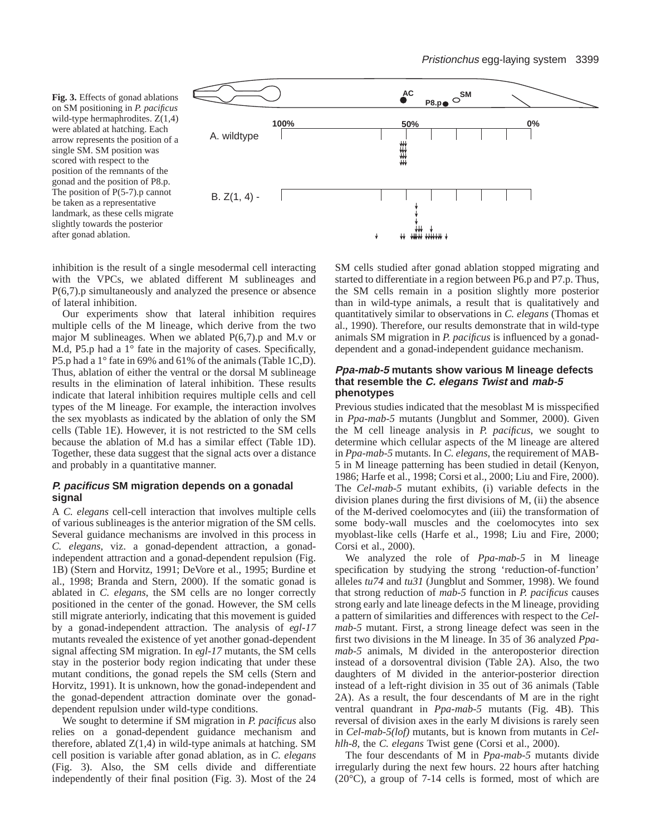**Fig. 3.** Effects of gonad ablations on SM positioning in *P. pacificus* wild-type hermaphrodites. Z(1,4) were ablated at hatching. Each arrow represents the position of a single SM. SM position was scored with respect to the position of the remnants of the gonad and the position of P8.p. The position of P(5-7).p cannot be taken as a representative landmark, as these cells migrate slightly towards the posterior after gonad ablation.



inhibition is the result of a single mesodermal cell interacting with the VPCs, we ablated different M sublineages and P(6,7).p simultaneously and analyzed the presence or absence of lateral inhibition.

Our experiments show that lateral inhibition requires multiple cells of the M lineage, which derive from the two major M sublineages. When we ablated P(6,7).p and M.v or M.d, P5.p had a 1° fate in the majority of cases. Specifically, P5.p had a 1° fate in 69% and 61% of the animals (Table 1C,D). Thus, ablation of either the ventral or the dorsal M sublineage results in the elimination of lateral inhibition. These results indicate that lateral inhibition requires multiple cells and cell types of the M lineage. For example, the interaction involves the sex myoblasts as indicated by the ablation of only the SM cells (Table 1E). However, it is not restricted to the SM cells because the ablation of M.d has a similar effect (Table 1D). Together, these data suggest that the signal acts over a distance and probably in a quantitative manner.

# **P. pacificus SM migration depends on a gonadal signal**

A *C. elegans* cell-cell interaction that involves multiple cells of various sublineages is the anterior migration of the SM cells. Several guidance mechanisms are involved in this process in *C. elegans,* viz. a gonad-dependent attraction, a gonadindependent attraction and a gonad-dependent repulsion (Fig. 1B) (Stern and Horvitz, 1991; DeVore et al., 1995; Burdine et al., 1998; Branda and Stern, 2000). If the somatic gonad is ablated in *C. elegans*, the SM cells are no longer correctly positioned in the center of the gonad. However, the SM cells still migrate anteriorly, indicating that this movement is guided by a gonad-independent attraction. The analysis of *egl-17* mutants revealed the existence of yet another gonad-dependent signal affecting SM migration. In *egl-17* mutants, the SM cells stay in the posterior body region indicating that under these mutant conditions, the gonad repels the SM cells (Stern and Horvitz, 1991). It is unknown, how the gonad-independent and the gonad-dependent attraction dominate over the gonaddependent repulsion under wild-type conditions.

We sought to determine if SM migration in *P. pacificus* also relies on a gonad-dependent guidance mechanism and therefore, ablated  $Z(1,4)$  in wild-type animals at hatching. SM cell position is variable after gonad ablation, as in *C. elegans* (Fig. 3). Also, the SM cells divide and differentiate independently of their final position (Fig. 3). Most of the 24 SM cells studied after gonad ablation stopped migrating and started to differentiate in a region between P6.p and P7.p. Thus, the SM cells remain in a position slightly more posterior than in wild-type animals, a result that is qualitatively and quantitatively similar to observations in *C. elegans* (Thomas et al., 1990). Therefore, our results demonstrate that in wild-type animals SM migration in *P. pacificus* is influenced by a gonaddependent and a gonad-independent guidance mechanism.

## **Ppa-mab-5 mutants show various M lineage defects that resemble the C. elegans Twist and mab-5 phenotypes**

Previous studies indicated that the mesoblast M is misspecified in *Ppa-mab-5* mutants (Jungblut and Sommer, 2000). Given the M cell lineage analysis in *P. pacificus*, we sought to determine which cellular aspects of the M lineage are altered in *Ppa-mab-5* mutants. In *C. elegans*, the requirement of MAB-5 in M lineage patterning has been studied in detail (Kenyon, 1986; Harfe et al., 1998; Corsi et al., 2000; Liu and Fire, 2000). The *Cel-mab-5* mutant exhibits, (i) variable defects in the division planes during the first divisions of M, (ii) the absence of the M-derived coelomocytes and (iii) the transformation of some body-wall muscles and the coelomocytes into sex myoblast-like cells (Harfe et al., 1998; Liu and Fire, 2000; Corsi et al., 2000).

We analyzed the role of *Ppa-mab-5* in M lineage specification by studying the strong 'reduction-of-function' alleles *tu74* and *tu31* (Jungblut and Sommer, 1998). We found that strong reduction of *mab-5* function in *P. pacificus* causes strong early and late lineage defects in the M lineage, providing a pattern of similarities and differences with respect to the *Celmab-5* mutant. First, a strong lineage defect was seen in the first two divisions in the M lineage. In 35 of 36 analyzed *Ppamab-5* animals, M divided in the anteroposterior direction instead of a dorsoventral division (Table 2A). Also, the two daughters of M divided in the anterior-posterior direction instead of a left-right division in 35 out of 36 animals (Table 2A). As a result, the four descendants of M are in the right ventral quandrant in *Ppa-mab-5* mutants (Fig. 4B). This reversal of division axes in the early M divisions is rarely seen in *Cel-mab-5(lof)* mutants, but is known from mutants in *Celhlh-8*, the *C. elegans* Twist gene (Corsi et al., 2000).

The four descendants of M in *Ppa-mab-5* mutants divide irregularly during the next few hours. 22 hours after hatching (20°C), a group of 7-14 cells is formed, most of which are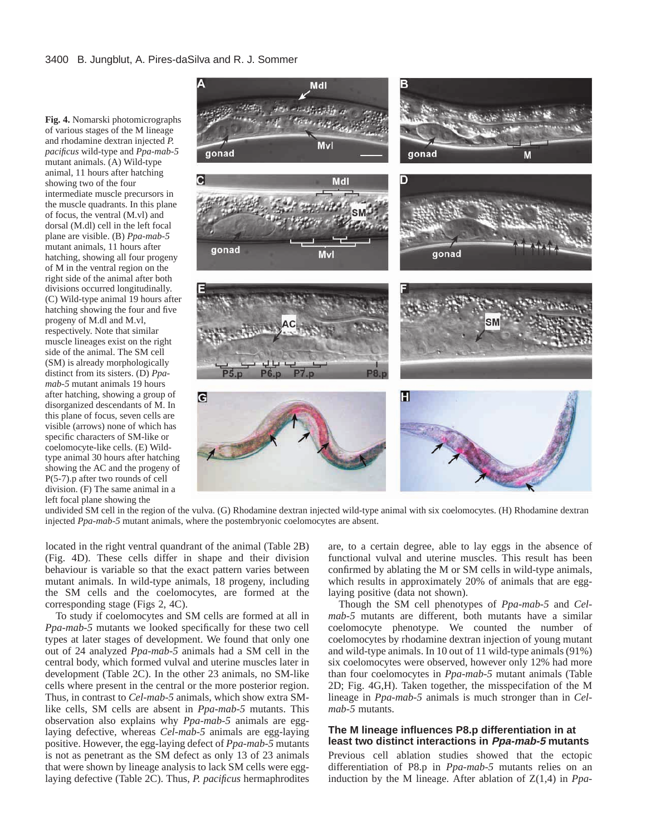**Fig. 4.** Nomarski photomicrographs of various stages of the M lineage and rhodamine dextran injected *P. pacificus* wild-type and *Ppa-mab-5* mutant animals. (A) Wild-type animal, 11 hours after hatching showing two of the four intermediate muscle precursors in the muscle quadrants. In this plane of focus, the ventral (M.vl) and dorsal (M.dl) cell in the left focal plane are visible. (B) *Ppa-mab-5* mutant animals, 11 hours after hatching, showing all four progeny of M in the ventral region on the right side of the animal after both divisions occurred longitudinally. (C) Wild-type animal 19 hours after hatching showing the four and five progeny of M.dl and M.vl, respectively. Note that similar muscle lineages exist on the right side of the animal. The SM cell (SM) is already morphologically distinct from its sisters. (D) *Ppamab-5* mutant animals 19 hours after hatching, showing a group of disorganized descendants of M. In this plane of focus, seven cells are visible (arrows) none of which has specific characters of SM-like or coelomocyte-like cells. (E) Wildtype animal 30 hours after hatching showing the AC and the progeny of P(5-7).p after two rounds of cell division. (F) The same animal in a left focal plane showing the



undivided SM cell in the region of the vulva. (G) Rhodamine dextran injected wild-type animal with six coelomocytes. (H) Rhodamine dextran injected *Ppa-mab-5* mutant animals, where the postembryonic coelomocytes are absent.

located in the right ventral quandrant of the animal (Table 2B) (Fig. 4D). These cells differ in shape and their division behaviour is variable so that the exact pattern varies between mutant animals. In wild-type animals, 18 progeny, including the SM cells and the coelomocytes, are formed at the corresponding stage (Figs 2, 4C).

To study if coelomocytes and SM cells are formed at all in *Ppa-mab-5* mutants we looked specifically for these two cell types at later stages of development. We found that only one out of 24 analyzed *Ppa-mab-5* animals had a SM cell in the central body, which formed vulval and uterine muscles later in development (Table 2C). In the other 23 animals, no SM-like cells where present in the central or the more posterior region. Thus, in contrast to *Cel-mab-5* animals, which show extra SMlike cells, SM cells are absent in *Ppa-mab-5* mutants. This observation also explains why *Ppa-mab-5* animals are egglaying defective, whereas *Cel-mab-5* animals are egg-laying positive. However, the egg-laying defect of *Ppa-mab-5* mutants is not as penetrant as the SM defect as only 13 of 23 animals that were shown by lineage analysis to lack SM cells were egglaying defective (Table 2C). Thus, *P. pacificus* hermaphrodites are, to a certain degree, able to lay eggs in the absence of functional vulval and uterine muscles. This result has been confirmed by ablating the M or SM cells in wild-type animals, which results in approximately 20% of animals that are egglaying positive (data not shown).

Though the SM cell phenotypes of *Ppa-mab-5* and *Celmab-5* mutants are different, both mutants have a similar coelomocyte phenotype. We counted the number of coelomocytes by rhodamine dextran injection of young mutant and wild-type animals. In 10 out of 11 wild-type animals (91%) six coelomocytes were observed, however only 12% had more than four coelomocytes in *Ppa-mab-5* mutant animals (Table 2D; Fig. 4G,H). Taken together, the misspecifation of the M lineage in *Ppa-mab-5* animals is much stronger than in *Celmab-5* mutants.

## **The M lineage influences P8.p differentiation in at least two distinct interactions in Ppa-mab-5 mutants**

Previous cell ablation studies showed that the ectopic differentiation of P8.p in *Ppa-mab-5* mutants relies on an induction by the M lineage. After ablation of Z(1,4) in *Ppa-*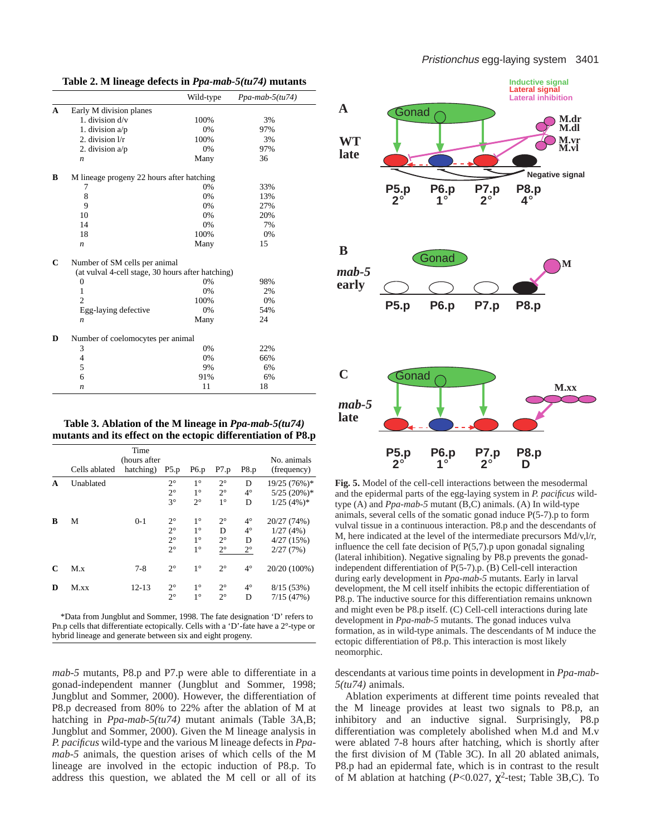|   |                                                   | Wild-type | $Ppa-mab-5(tu74)$ |  |  |  |  |  |
|---|---------------------------------------------------|-----------|-------------------|--|--|--|--|--|
| A | Early M division planes                           |           |                   |  |  |  |  |  |
|   | 1. division $d/v$                                 | 100%      | 3%                |  |  |  |  |  |
|   | 1. division a/p                                   | 0%        | 97%               |  |  |  |  |  |
|   | 2. division $1/r$                                 | 100%      | 3%                |  |  |  |  |  |
|   | 2. division $a/p$                                 | 0%        | 97%               |  |  |  |  |  |
|   | n                                                 | Many      | 36                |  |  |  |  |  |
| В | M lineage progeny 22 hours after hatching         |           |                   |  |  |  |  |  |
|   | 7                                                 | 0%        | 33%               |  |  |  |  |  |
|   | 8                                                 | 0%        | 13%               |  |  |  |  |  |
|   | 9                                                 | 0%        | 27%               |  |  |  |  |  |
|   | 10                                                | 0%        | 20%               |  |  |  |  |  |
|   | 14                                                | 0%        | 7%                |  |  |  |  |  |
|   | 18                                                | 100%      | 0%                |  |  |  |  |  |
|   | $\boldsymbol{n}$                                  | Many      | 15                |  |  |  |  |  |
| C | Number of SM cells per animal                     |           |                   |  |  |  |  |  |
|   | (at vulval 4-cell stage, 30 hours after hatching) |           |                   |  |  |  |  |  |
|   | $\boldsymbol{0}$                                  | 0%        | 98%               |  |  |  |  |  |
|   | 1                                                 | 0%        | 2%                |  |  |  |  |  |
|   | $\overline{c}$                                    | 100%      | 0%                |  |  |  |  |  |
|   | Egg-laying defective                              | 0%        | 54%               |  |  |  |  |  |
|   | $\boldsymbol{n}$                                  | Many      | 24                |  |  |  |  |  |
| D | Number of coelomocytes per animal                 |           |                   |  |  |  |  |  |
|   | 3                                                 | 0%        | 22%               |  |  |  |  |  |
|   | $\overline{4}$                                    | 0%        | 66%               |  |  |  |  |  |
|   | 5                                                 | 9%        | 6%                |  |  |  |  |  |
|   | 6                                                 | 91%       | 6%                |  |  |  |  |  |
|   | n                                                 | 11        | 18                |  |  |  |  |  |

**Table 2. M lineage defects in** *Ppa-mab-5(tu74)* **mutants**

**Table 3. Ablation of the M lineage in** *Ppa-mab-5(tu74)* **mutants and its effect on the ectopic differentiation of P8.p**

|   |               | Time          |             |             |             |             |                          |
|---|---------------|---------------|-------------|-------------|-------------|-------------|--------------------------|
|   |               | (hours after) |             |             |             |             | No. animals              |
|   | Cells ablated | hatching)     | P5.p        | P6.p        | P7.p        | P8.p        | (frequency)              |
| A | Unablated     |               | $2^{\circ}$ | $1^{\circ}$ | $2^{\circ}$ | D           | 19/25 (76%)*             |
|   |               |               | $2^{\circ}$ | $1^{\circ}$ | $2^{\circ}$ | $4^\circ$   | $5/25$ (20%)*            |
|   |               |               | $3^\circ$   | $2^{\circ}$ | $1^\circ$   | D           | $1/25$ (4%) <sup>*</sup> |
| B | М             | $0-1$         | $2^{\circ}$ | $1^{\circ}$ | $2^{\circ}$ | $4^{\circ}$ | 20/27 (74%)              |
|   |               |               | $2^{\circ}$ | $1^{\circ}$ | D           | $4^\circ$   | 1/27(4%)                 |
|   |               |               | $2^{\circ}$ | $1^{\circ}$ | $2^{\circ}$ | D           | 4/27(15%)                |
|   |               |               | $2^{\circ}$ | $1^{\circ}$ | $2^{\circ}$ | $2^{\circ}$ | 2/27(7%)                 |
| C | M.x           | $7 - 8$       | $2^{\circ}$ | $1^{\circ}$ | $2^{\circ}$ | $4^\circ$   | 20/20 (100%)             |
| D | $M$ .xx       | $12 - 13$     | $2^{\circ}$ | $1^{\circ}$ | $2^{\circ}$ | $4^\circ$   | 8/15(53%)                |
|   |               |               | $2^{\circ}$ | $1^{\circ}$ | $2^{\circ}$ | D           | 7/15(47%)                |
|   |               |               |             |             |             |             |                          |

\*Data from Jungblut and Sommer, 1998. The fate designation 'D' refers to Pn.p cells that differentiate ectopically. Cells with a 'D'-fate have a 2°-type or hybrid lineage and generate between six and eight progeny.

*mab-5* mutants, P8.p and P7.p were able to differentiate in a gonad-independent manner (Jungblut and Sommer, 1998; Jungblut and Sommer, 2000). However, the differentiation of P8.p decreased from 80% to 22% after the ablation of M at hatching in *Ppa-mab-5(tu74)* mutant animals (Table 3A,B; Jungblut and Sommer, 2000). Given the M lineage analysis in *P. pacificus* wild-type and the various M lineage defects in *Ppamab-5* animals, the question arises of which cells of the M lineage are involved in the ectopic induction of P8.p. To address this question, we ablated the M cell or all of its



**Fig. 5.** Model of the cell-cell interactions between the mesodermal and the epidermal parts of the egg-laying system in *P. pacificus* wildtype (A) and *Ppa-mab-5* mutant (B,C) animals. (A) In wild-type animals, several cells of the somatic gonad induce P(5-7).p to form vulval tissue in a continuous interaction. P8.p and the descendants of M, here indicated at the level of the intermediate precursors Md/v,l/r, influence the cell fate decision of  $P(5,7)$ .p upon gonadal signaling (lateral inhibition). Negative signaling by P8.p prevents the gonadindependent differentiation of P(5-7).p. (B) Cell-cell interaction during early development in *Ppa-mab-5* mutants. Early in larval development, the M cell itself inhibits the ectopic differentiation of P8.p. The inductive source for this differentiation remains unknown and might even be P8.p itself. (C) Cell-cell interactions during late development in *Ppa-mab-5* mutants. The gonad induces vulva formation, as in wild-type animals. The descendants of M induce the ectopic differentiation of P8.p. This interaction is most likely neomorphic.

descendants at various time points in development in *Ppa-mab-5(tu74)* animals.

Ablation experiments at different time points revealed that the M lineage provides at least two signals to P8.p, an inhibitory and an inductive signal. Surprisingly, P8.p differentiation was completely abolished when M.d and M.v were ablated 7-8 hours after hatching, which is shortly after the first division of M (Table 3C). In all 20 ablated animals, P8.p had an epidermal fate, which is in contrast to the result of M ablation at hatching ( $P < 0.027$ ,  $\chi^2$ -test; Table 3B,C). To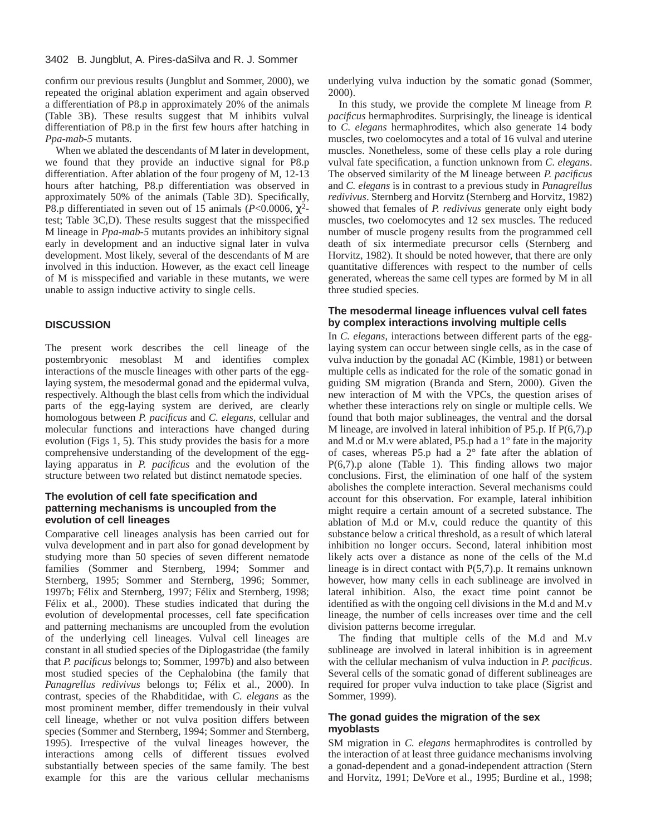confirm our previous results (Jungblut and Sommer, 2000), we repeated the original ablation experiment and again observed a differentiation of P8.p in approximately 20% of the animals (Table 3B). These results suggest that M inhibits vulval differentiation of P8.p in the first few hours after hatching in *Ppa-mab-5* mutants.

When we ablated the descendants of M later in development, we found that they provide an inductive signal for P8.p differentiation. After ablation of the four progeny of M, 12-13 hours after hatching, P8.p differentiation was observed in approximately 50% of the animals (Table 3D). Specifically, P8.p differentiated in seven out of 15 animals ( $P < 0.0006$ ,  $\chi^2$ test; Table 3C,D). These results suggest that the misspecified M lineage in *Ppa-mab-5* mutants provides an inhibitory signal early in development and an inductive signal later in vulva development. Most likely, several of the descendants of M are involved in this induction. However, as the exact cell lineage of M is misspecified and variable in these mutants, we were unable to assign inductive activity to single cells.

# **DISCUSSION**

The present work describes the cell lineage of the postembryonic mesoblast M and identifies complex interactions of the muscle lineages with other parts of the egglaying system, the mesodermal gonad and the epidermal vulva, respectively. Although the blast cells from which the individual parts of the egg-laying system are derived, are clearly homologous between *P. pacificus* and *C. elegans*, cellular and molecular functions and interactions have changed during evolution (Figs 1, 5). This study provides the basis for a more comprehensive understanding of the development of the egglaying apparatus in *P. pacificus* and the evolution of the structure between two related but distinct nematode species.

## **The evolution of cell fate specification and patterning mechanisms is uncoupled from the evolution of cell lineages**

Comparative cell lineages analysis has been carried out for vulva development and in part also for gonad development by studying more than 50 species of seven different nematode families (Sommer and Sternberg, 1994; Sommer and Sternberg, 1995; Sommer and Sternberg, 1996; Sommer, 1997b; Félix and Sternberg, 1997; Félix and Sternberg, 1998; Félix et al., 2000). These studies indicated that during the evolution of developmental processes, cell fate specification and patterning mechanisms are uncoupled from the evolution of the underlying cell lineages. Vulval cell lineages are constant in all studied species of the Diplogastridae (the family that *P. pacificus* belongs to; Sommer, 1997b) and also between most studied species of the Cephalobina (the family that *Panagrellus redivivus* belongs to; Félix et al., 2000). In contrast, species of the Rhabditidae, with *C. elegans* as the most prominent member, differ tremendously in their vulval cell lineage, whether or not vulva position differs between species (Sommer and Sternberg, 1994; Sommer and Sternberg, 1995). Irrespective of the vulval lineages however, the interactions among cells of different tissues evolved substantially between species of the same family. The best example for this are the various cellular mechanisms underlying vulva induction by the somatic gonad (Sommer, 2000).

In this study, we provide the complete M lineage from *P. pacificus* hermaphrodites. Surprisingly, the lineage is identical to *C. elegans* hermaphrodites, which also generate 14 body muscles, two coelomocytes and a total of 16 vulval and uterine muscles. Nonetheless, some of these cells play a role during vulval fate specification, a function unknown from *C. elegans*. The observed similarity of the M lineage between *P. pacificus* and *C. elegans* is in contrast to a previous study in *Panagrellus redivivus*. Sternberg and Horvitz (Sternberg and Horvitz, 1982) showed that females of *P. redivivus* generate only eight body muscles, two coelomocytes and 12 sex muscles. The reduced number of muscle progeny results from the programmed cell death of six intermediate precursor cells (Sternberg and Horvitz, 1982). It should be noted however, that there are only quantitative differences with respect to the number of cells generated, whereas the same cell types are formed by M in all three studied species.

## **The mesodermal lineage influences vulval cell fates by complex interactions involving multiple cells**

In *C. elegans*, interactions between different parts of the egglaying system can occur between single cells, as in the case of vulva induction by the gonadal AC (Kimble, 1981) or between multiple cells as indicated for the role of the somatic gonad in guiding SM migration (Branda and Stern, 2000). Given the new interaction of M with the VPCs, the question arises of whether these interactions rely on single or multiple cells. We found that both major sublineages, the ventral and the dorsal M lineage, are involved in lateral inhibition of P5.p. If P(6,7).p and M.d or M.v were ablated, P5.p had a 1° fate in the majority of cases, whereas P5.p had a  $2^{\circ}$  fate after the ablation of  $P(6,7)$ .p alone (Table 1). This finding allows two major conclusions. First, the elimination of one half of the system abolishes the complete interaction. Several mechanisms could account for this observation. For example, lateral inhibition might require a certain amount of a secreted substance. The ablation of M.d or M.v, could reduce the quantity of this substance below a critical threshold, as a result of which lateral inhibition no longer occurs. Second, lateral inhibition most likely acts over a distance as none of the cells of the M.d lineage is in direct contact with P(5,7).p. It remains unknown however, how many cells in each sublineage are involved in lateral inhibition. Also, the exact time point cannot be identified as with the ongoing cell divisions in the M.d and M.v lineage, the number of cells increases over time and the cell division patterns become irregular.

The finding that multiple cells of the M.d and M.v sublineage are involved in lateral inhibition is in agreement with the cellular mechanism of vulva induction in *P. pacificus*. Several cells of the somatic gonad of different sublineages are required for proper vulva induction to take place (Sigrist and Sommer, 1999).

## **The gonad guides the migration of the sex myoblasts**

SM migration in *C. elegans* hermaphrodites is controlled by the interaction of at least three guidance mechanisms involving a gonad-dependent and a gonad-independent attraction (Stern and Horvitz, 1991; DeVore et al., 1995; Burdine et al., 1998;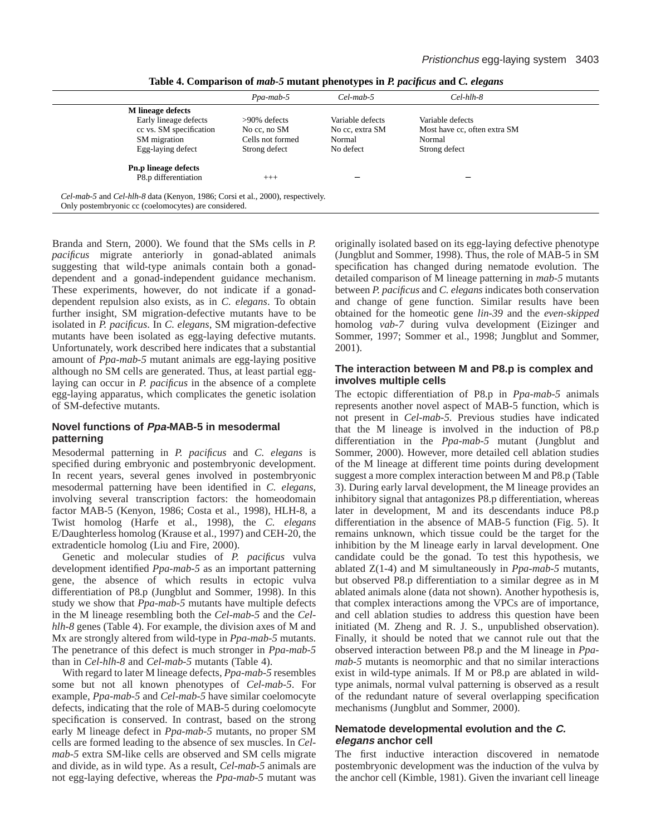|                                                                                                                                        | Ppa-mab-5        | $Cel$ -mab-5     | $Cel-hlh-8$                  |  |
|----------------------------------------------------------------------------------------------------------------------------------------|------------------|------------------|------------------------------|--|
| <b>M</b> lineage defects                                                                                                               |                  |                  |                              |  |
| Early lineage defects                                                                                                                  | $>90\%$ defects  | Variable defects | Variable defects             |  |
| cc vs. SM specification                                                                                                                | No cc, no SM     | No cc, extra SM  | Most have cc, often extra SM |  |
| SM migration                                                                                                                           | Cells not formed | Normal           | Normal                       |  |
| Egg-laying defect                                                                                                                      | Strong defect    | No defect        | Strong defect                |  |
| <b>Pn.p lineage defects</b>                                                                                                            |                  |                  |                              |  |
| P8.p differentiation                                                                                                                   | $+++$            |                  |                              |  |
| Cel-mab-5 and Cel-hlh-8 data (Kenyon, 1986; Corsi et al., 2000), respectively.<br>Only postembryonic cc (coelomocytes) are considered. |                  |                  |                              |  |

**Table 4. Comparison of** *mab-5* **mutant phenotypes in** *P. pacificus* **and** *C. elegans*

Branda and Stern, 2000). We found that the SMs cells in *P. pacificus* migrate anteriorly in gonad-ablated animals suggesting that wild-type animals contain both a gonaddependent and a gonad-independent guidance mechanism. These experiments, however, do not indicate if a gonaddependent repulsion also exists, as in *C. elegans*. To obtain further insight, SM migration-defective mutants have to be isolated in *P. pacificus*. In *C. elegans*, SM migration-defective mutants have been isolated as egg-laying defective mutants. Unfortunately, work described here indicates that a substantial amount of *Ppa-mab-5* mutant animals are egg-laying positive although no SM cells are generated. Thus, at least partial egglaying can occur in *P. pacificus* in the absence of a complete egg-laying apparatus, which complicates the genetic isolation of SM-defective mutants.

## **Novel functions of Ppa-MAB-5 in mesodermal patterning**

Mesodermal patterning in *P. pacificus* and *C. elegans* is specified during embryonic and postembryonic development. In recent years, several genes involved in postembryonic mesodermal patterning have been identified in *C. elegans*, involving several transcription factors: the homeodomain factor MAB-5 (Kenyon, 1986; Costa et al., 1998), HLH-8, a Twist homolog (Harfe et al., 1998), the *C. elegans* E/Daughterless homolog (Krause et al., 1997) and CEH-20, the extradenticle homolog (Liu and Fire, 2000).

Genetic and molecular studies of *P. pacificus* vulva development identified *Ppa-mab-5* as an important patterning gene, the absence of which results in ectopic vulva differentiation of P8.p (Jungblut and Sommer, 1998). In this study we show that *Ppa-mab-5* mutants have multiple defects in the M lineage resembling both the *Cel-mab-5* and the *Celhlh-8* genes (Table 4). For example, the division axes of M and Mx are strongly altered from wild-type in *Ppa-mab-5* mutants. The penetrance of this defect is much stronger in *Ppa-mab-5* than in *Cel-hlh-8* and *Cel-mab-5* mutants (Table 4).

With regard to later M lineage defects, *Ppa-mab-5* resembles some but not all known phenotypes of *Cel-mab-5*. For example, *Ppa-mab-5* and *Cel-mab-5* have similar coelomocyte defects, indicating that the role of MAB-5 during coelomocyte specification is conserved. In contrast, based on the strong early M lineage defect in *Ppa-mab-5* mutants, no proper SM cells are formed leading to the absence of sex muscles. In *Celmab-5* extra SM-like cells are observed and SM cells migrate and divide, as in wild type. As a result, *Cel-mab-5* animals are not egg-laying defective, whereas the *Ppa-mab-5* mutant was originally isolated based on its egg-laying defective phenotype (Jungblut and Sommer, 1998). Thus, the role of MAB-5 in SM specification has changed during nematode evolution. The detailed comparison of M lineage patterning in *mab-5* mutants between *P. pacificus* and *C. elegans* indicates both conservation and change of gene function. Similar results have been obtained for the homeotic gene *lin-39* and the *even-skipped* homolog *vab-7* during vulva development (Eizinger and Sommer, 1997; Sommer et al., 1998; Jungblut and Sommer, 2001).

## **The interaction between M and P8.p is complex and involves multiple cells**

The ectopic differentiation of P8.p in *Ppa-mab-5* animals represents another novel aspect of MAB-5 function, which is not present in *Cel-mab-5*. Previous studies have indicated that the M lineage is involved in the induction of P8.p differentiation in the *Ppa-mab-5* mutant (Jungblut and Sommer, 2000). However, more detailed cell ablation studies of the M lineage at different time points during development suggest a more complex interaction between M and P8.p (Table 3). During early larval development, the M lineage provides an inhibitory signal that antagonizes P8.p differentiation, whereas later in development, M and its descendants induce P8.p differentiation in the absence of MAB-5 function (Fig. 5). It remains unknown, which tissue could be the target for the inhibition by the M lineage early in larval development. One candidate could be the gonad. To test this hypothesis, we ablated Z(1-4) and M simultaneously in *Ppa-mab-5* mutants, but observed P8.p differentiation to a similar degree as in M ablated animals alone (data not shown). Another hypothesis is, that complex interactions among the VPCs are of importance, and cell ablation studies to address this question have been initiated (M. Zheng and R. J. S., unpublished observation). Finally, it should be noted that we cannot rule out that the observed interaction between P8.p and the M lineage in *Ppamab-5* mutants is neomorphic and that no similar interactions exist in wild-type animals. If M or P8.p are ablated in wildtype animals, normal vulval patterning is observed as a result of the redundant nature of several overlapping specification mechanisms (Jungblut and Sommer, 2000).

## **Nematode developmental evolution and the C. elegans anchor cell**

The first inductive interaction discovered in nematode postembryonic development was the induction of the vulva by the anchor cell (Kimble, 1981). Given the invariant cell lineage